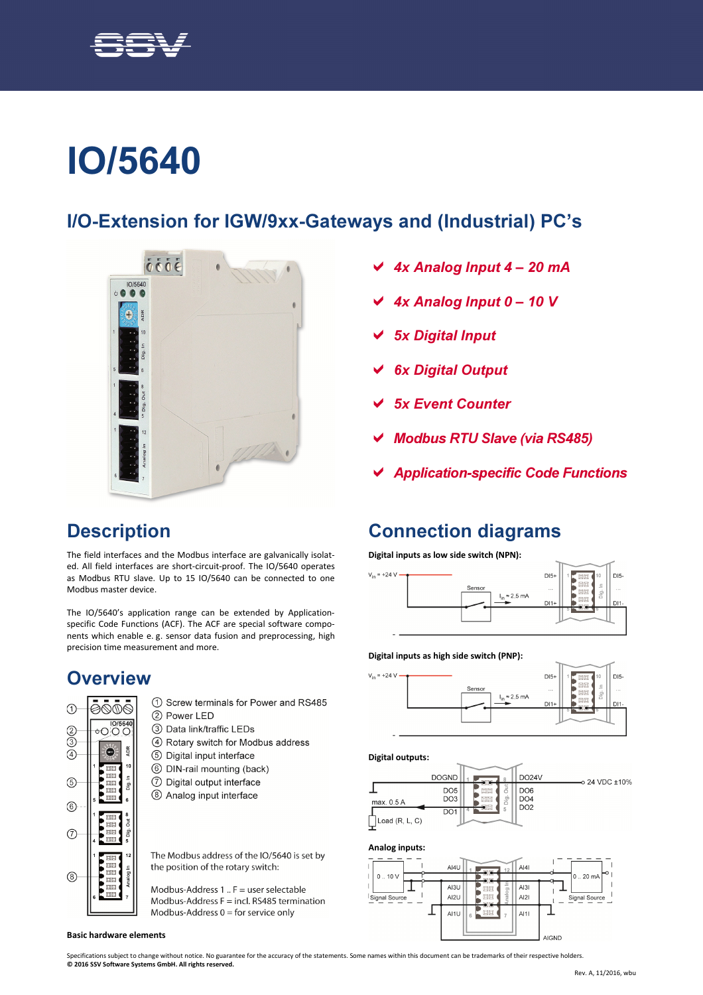

# IO/5640

### I/O-Extension for IGW/9xx-Gateways and (Industrial) PC's



- 4x Analog Input 4 20 mA
- 4x Analog Input 0 10 V
- 5x Digital Input
- 6x Digital Output
- 5x Event Counter
- Modbus RTU Slave (via RS485)

Connection diagrams

Senso

Digital inputs as low side switch (NPN):

Application-specific Code Functions

 $D15+$ 

DP.

 $= 2.5 \text{ mA}$ 

 $DI5-$ 

# **Description**

The field interfaces and the Modbus interface are galvanically isolated. All field interfaces are short-circuit-proof. The IO/5640 operates as Modbus RTU slave. Up to 15 IO/5640 can be connected to one Modbus master device.

The IO/5640's application range can be extended by Applicationspecific Code Functions (ACF). The ACF are special software components which enable e. g. sensor data fusion and preprocessing, high precision time measurement and more.

# **Overview**



- 2 Power LED
- 3) Data link/traffic LEDs
- 4 Rotary switch for Modbus address
- 5 Digital input interface
- 6 DIN-rail mounting (back)
- 7 Digital output interface
- 8 Analog input interface

The Modbus address of the IO/5640 is set by the position of the rotary switch:

Modbus-Address 1 ..  $F =$  user selectable Modbus-Address  $F = incl$ . RS485 termination Modbus-Address  $0 =$  for service only



#### Specifications subject to change without notice. No guarantee for the accuracy of the statements. Some names within this document can be trademarks of their respective holders.

© 2016 SSV Software Systems GmbH. All rights reserved.



Digital inputs as high side switch (PNP):



Digital outputs:

 $V_{in}$  = +24 V



#### Analog inputs:



1) Screw terminals for Power and RS485